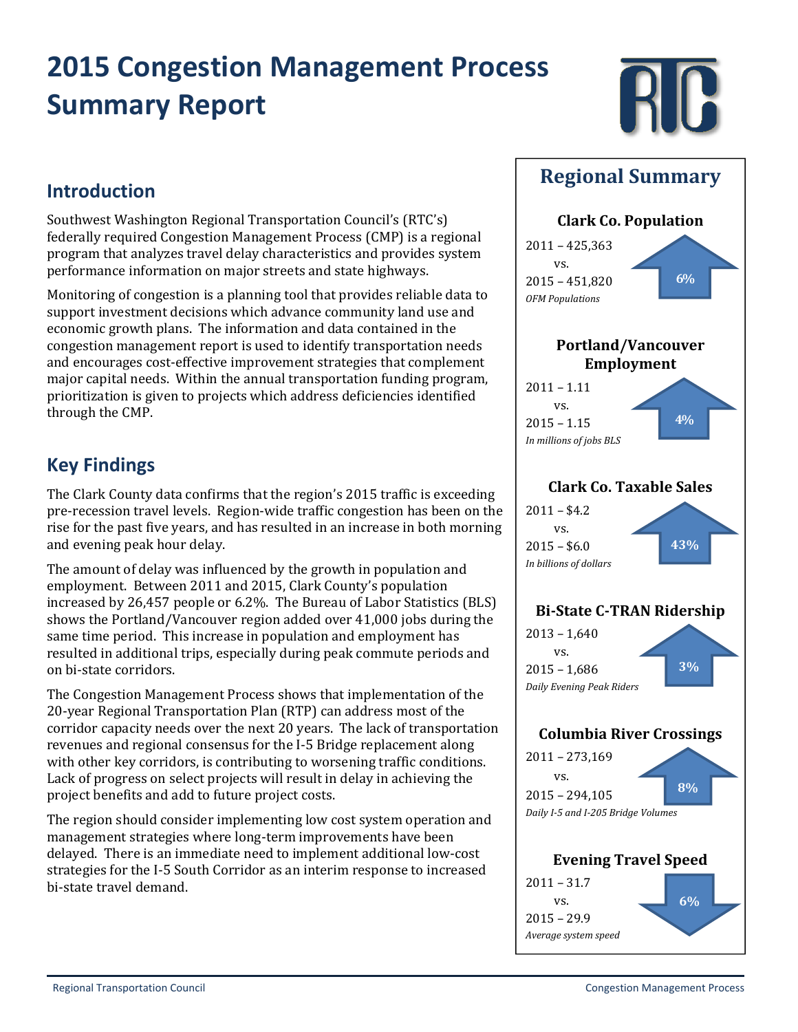# **2015 Congestion Management Process Summary Report**



#### **Introduction**

Southwest Washington Regional Transportation Council's (RTC's) federally required Congestion Management Process (CMP) is a regional program that analyzes travel delay characteristics and provides system performance information on major streets and state highways.

Monitoring of congestion is a planning tool that provides reliable data to support investment decisions which advance community land use and economic growth plans. The information and data contained in the congestion management report is used to identify transportation needs and encourages cost-effective improvement strategies that complement major capital needs. Within the annual transportation funding program, prioritization is given to projects which address deficiencies identified through the CMP.

### **Key Findings**

The Clark County data confirms that the region's 2015 traffic is exceeding pre-recession travel levels. Region-wide traffic congestion has been on the rise for the past five years, and has resulted in an increase in both morning and evening peak hour delay.

The amount of delay was influenced by the growth in population and employment. Between 2011 and 2015, Clark County's population increased by  $26,457$  people or  $6.2\%$ . The Bureau of Labor Statistics (BLS) shows the Portland/Vancouver region added over 41,000 jobs during the same time period. This increase in population and employment has resulted in additional trips, especially during peak commute periods and on bi-state corridors.

The Congestion Management Process shows that implementation of the 20-year Regional Transportation Plan (RTP) can address most of the corridor capacity needs over the next 20 years. The lack of transportation revenues and regional consensus for the I-5 Bridge replacement along with other key corridors, is contributing to worsening traffic conditions. Lack of progress on select projects will result in delay in achieving the project benefits and add to future project costs.

The region should consider implementing low cost system operation and management strategies where long-term improvements have been delayed. There is an immediate need to implement additional low-cost strategies for the I-5 South Corridor as an interim response to increased bi-state travel demand.

#### **Regional Summary**

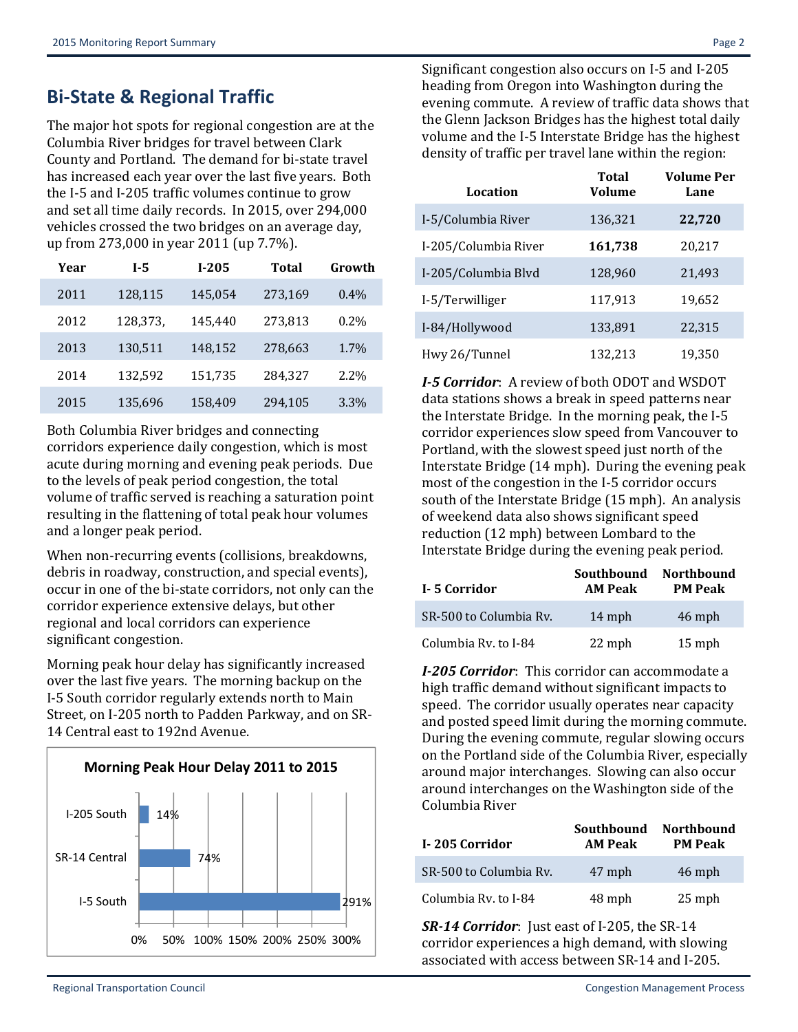### **Bi‐State & Regional Traffic**

The major hot spots for regional congestion are at the Columbia River bridges for travel between Clark County and Portland. The demand for bi-state travel has increased each year over the last five years. Both the I-5 and I-205 traffic volumes continue to grow and set all time daily records. In 2015, over 294,000 vehicles crossed the two bridges on an average day, up from 273,000 in year 2011 (up 7.7%).

| Year | I-5      | $I-205$ | Total   | Growth  |
|------|----------|---------|---------|---------|
| 2011 | 128,115  | 145,054 | 273,169 | $0.4\%$ |
| 2012 | 128,373, | 145,440 | 273,813 | $0.2\%$ |
| 2013 | 130,511  | 148,152 | 278,663 | 1.7%    |
| 2014 | 132,592  | 151,735 | 284,327 | 2.2%    |
| 2015 | 135,696  | 158,409 | 294,105 | 3.3%    |

Both Columbia River bridges and connecting corridors experience daily congestion, which is most acute during morning and evening peak periods. Due to the levels of peak period congestion, the total volume of traffic served is reaching a saturation point resulting in the flattening of total peak hour volumes and a longer peak period.

When non-recurring events (collisions, breakdowns, debris in roadway, construction, and special events), occur in one of the bi-state corridors, not only can the corridor experience extensive delays, but other regional and local corridors can experience significant congestion.

Morning peak hour delay has significantly increased over the last five years. The morning backup on the I-5 South corridor regularly extends north to Main Street, on I-205 north to Padden Parkway, and on SR-14 Central east to 192nd Avenue.



Significant congestion also occurs on I-5 and I-205 heading from Oregon into Washington during the evening commute. A review of traffic data shows that the Glenn Jackson Bridges has the highest total daily volume and the I-5 Interstate Bridge has the highest density of traffic per travel lane within the region:

| Location             | <b>Total</b><br><b>Volume</b> | <b>Volume Per</b><br>Lane |
|----------------------|-------------------------------|---------------------------|
| I-5/Columbia River   | 136,321                       | 22,720                    |
| I-205/Columbia River | 161,738                       | 20,217                    |
| I-205/Columbia Blvd  | 128,960                       | 21,493                    |
| I-5/Terwilliger      | 117,913                       | 19,652                    |
| I-84/Hollywood       | 133,891                       | 22,315                    |
| Hwy 26/Tunnel        | 132,213                       | 19,350                    |

*I*<sup>•</sup>*5 Corridor*: A review of both ODOT and WSDOT data stations shows a break in speed patterns near the Interstate Bridge. In the morning peak, the  $I-5$ corridor experiences slow speed from Vancouver to Portland, with the slowest speed just north of the Interstate Bridge  $(14$  mph). During the evening peak most of the congestion in the I-5 corridor occurs south of the Interstate Bridge (15 mph). An analysis of weekend data also shows significant speed reduction (12 mph) between Lombard to the Interstate Bridge during the evening peak period.

| I-5 Corridor           | Southbound<br><b>AM Peak</b> | <b>Northbound</b><br><b>PM Peak</b> |
|------------------------|------------------------------|-------------------------------------|
| SR-500 to Columbia Rv. | 14 mph                       | 46 mph                              |
| Columbia Ry. to I-84   | 22 mph                       | $15$ mph                            |

*I***-205 Corridor**: This corridor can accommodate a high traffic demand without significant impacts to speed. The corridor usually operates near capacity and posted speed limit during the morning commute. During the evening commute, regular slowing occurs on the Portland side of the Columbia River, especially around major interchanges. Slowing can also occur around interchanges on the Washington side of the Columbia River 

| I-205 Corridor         | Southbound<br><b>AM Peak</b> | <b>Northbound</b><br><b>PM Peak</b> |
|------------------------|------------------------------|-------------------------------------|
| SR-500 to Columbia Ry. | 47 mph                       | 46 mph                              |
| Columbia Ry. to I-84   | 48 mph                       | $25$ mph                            |

**SR**-14 Corridor: Just east of I-205, the SR-14 corridor experiences a high demand, with slowing associated with access between SR-14 and I-205.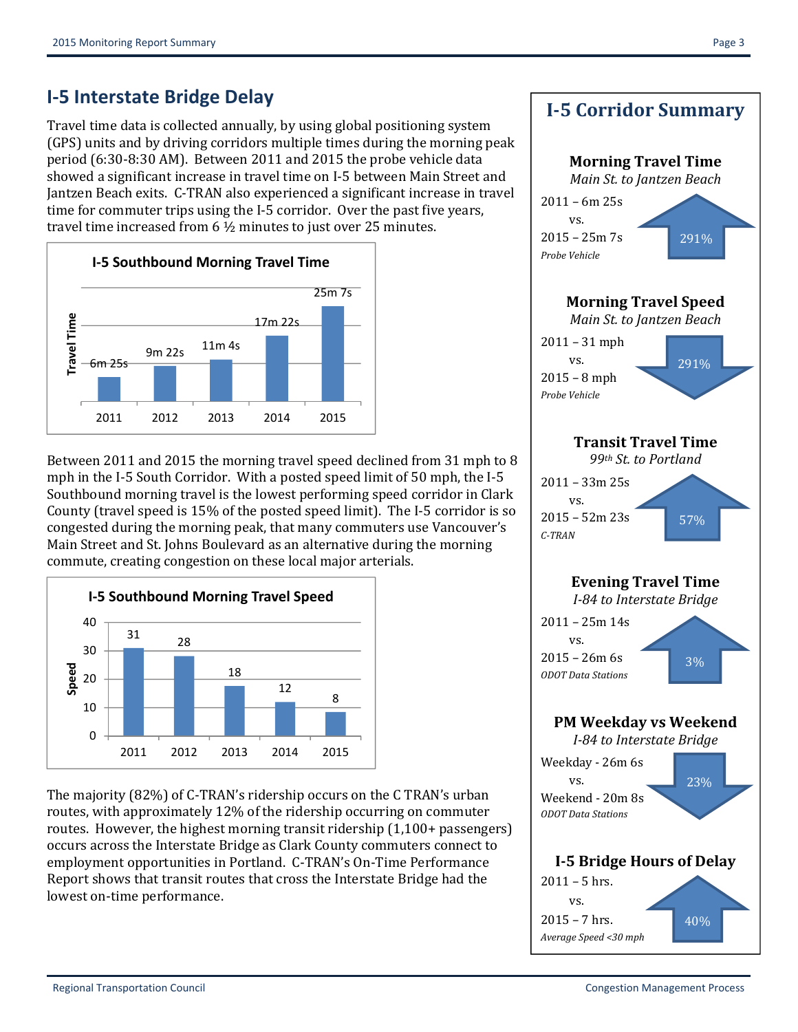# **I‐5 Interstate Bridge Delay**

Travel time data is collected annually, by using global positioning system (GPS) units and by driving corridors multiple times during the morning peak period (6:30-8:30 AM). Between 2011 and 2015 the probe vehicle data showed a significant increase in travel time on I-5 between Main Street and Jantzen Beach exits. C-TRAN also experienced a significant increase in travel time for commuter trips using the I-5 corridor. Over the past five years, travel time increased from  $6\frac{1}{2}$  minutes to just over 25 minutes.



Between 2011 and 2015 the morning travel speed declined from 31 mph to 8 mph in the I-5 South Corridor. With a posted speed limit of 50 mph, the I-5 Southbound morning travel is the lowest performing speed corridor in Clark County (travel speed is 15% of the posted speed limit). The I-5 corridor is so congested during the morning peak, that many commuters use Vancouver's Main Street and St. Johns Boulevard as an alternative during the morning commute, creating congestion on these local major arterials.



The majority (82%) of C-TRAN's ridership occurs on the C TRAN's urban routes, with approximately 12% of the ridership occurring on commuter routes. However, the highest morning transit ridership  $(1,100+$  passengers) occurs across the Interstate Bridge as Clark County commuters connect to employment opportunities in Portland. C-TRAN's On-Time Performance Report shows that transit routes that cross the Interstate Bridge had the lowest on-time performance.

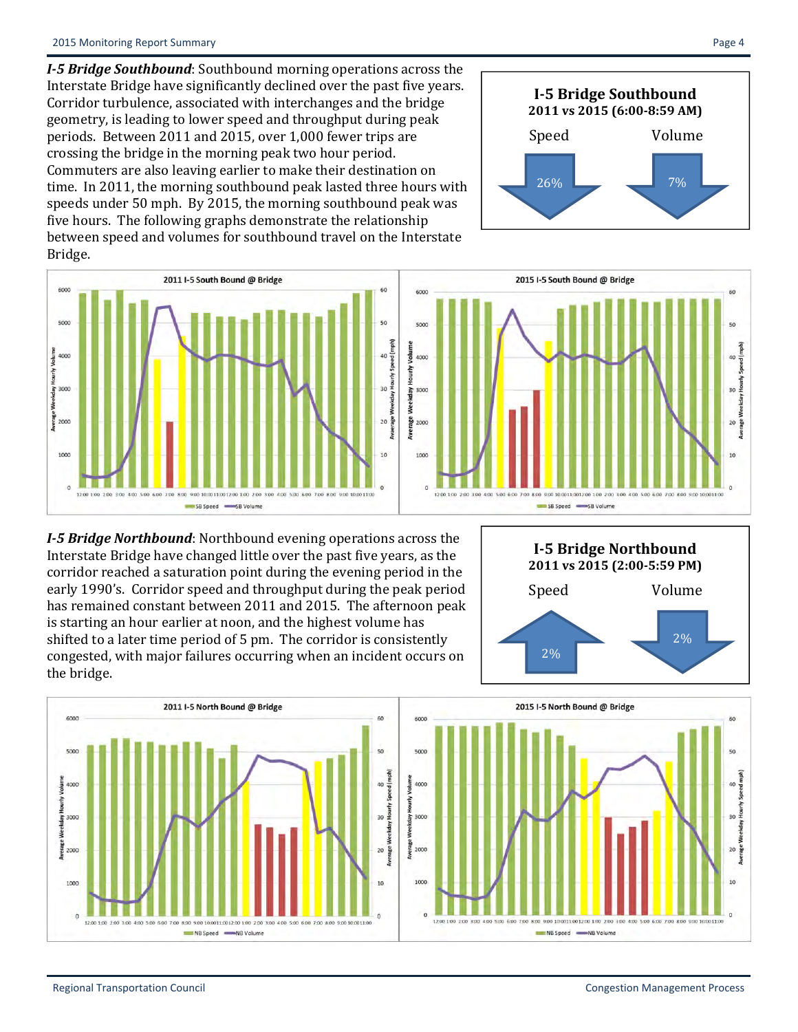*I*<sup>-5</sup> *Bridge Southbound*: Southbound morning operations across the Interstate Bridge have significantly declined over the past five years. Corridor turbulence, associated with interchanges and the bridge geometry, is leading to lower speed and throughput during peak periods. Between 2011 and 2015, over 1,000 fewer trips are crossing the bridge in the morning peak two hour period. Commuters are also leaving earlier to make their destination on time. In 2011, the morning southbound peak lasted three hours with speeds under 50 mph. By 2015, the morning southbound peak was five hours. The following graphs demonstrate the relationship between speed and volumes for southbound travel on the Interstate Bridge. 





00 10:0011:0012:00 1:00 2:00

SB Speed -SB Volume

 $NB Speed =$ 

-NB Volume

*I*<sup>-5</sup> *Bridge Northbound*: Northbound evening operations across the Interstate Bridge have changed little over the past five years, as the corridor reached a saturation point during the evening period in the early 1990's. Corridor speed and throughput during the peak period has remained constant between 2011 and 2015. The afternoon peak is starting an hour earlier at noon, and the highest volume has shifted to a later time period of 5 pm. The corridor is consistently congested, with major failures occurring when an incident occurs on the bridge.

NB Speed WB Volume



yolu

Hourly<sup>1</sup>

Weekday

 $\alpha$ 

12:00 1:00 2:00 3:00



**I‐5 Bridge Northbound 2011 vs 2015 (2:00‐5:59 PM)** Speed Volume 2% 2% 

 $\theta$ 

o channel company<br>
Hourly Speed mph)

Weekday

 $20 \frac{8}{5}$ 

 $10$ 

on announcement one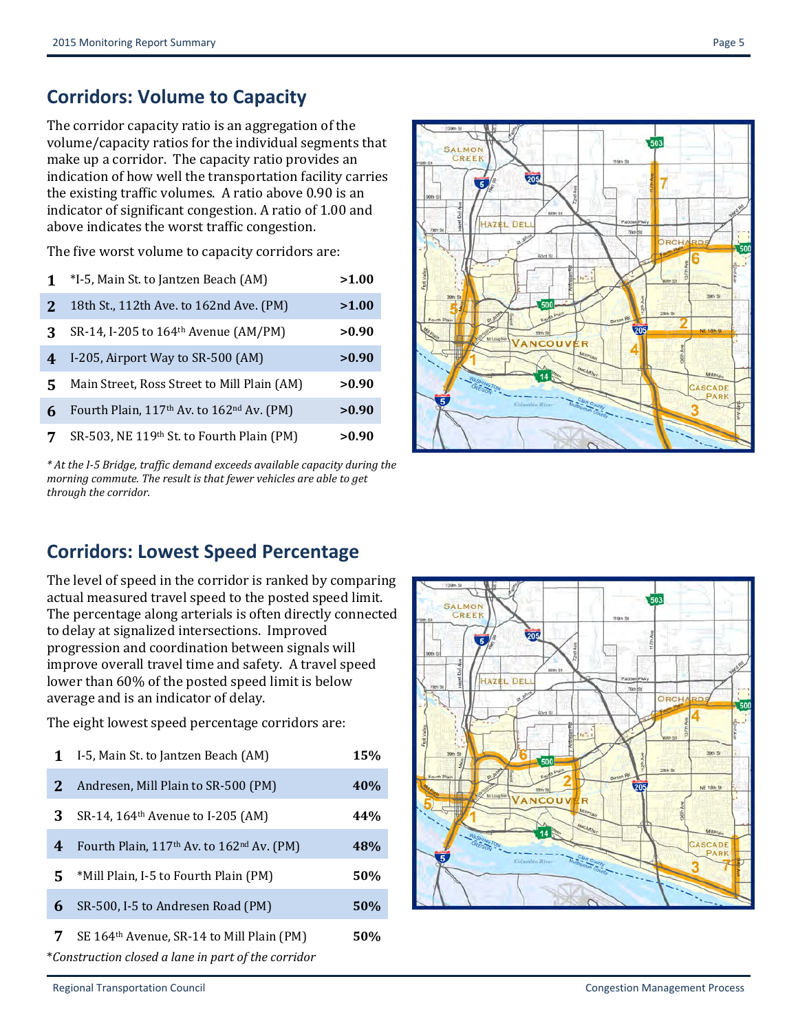### **Corridors: Volume to Capacity**

The corridor capacity ratio is an aggregation of the volume/capacity ratios for the individual segments that make up a corridor. The capacity ratio provides an indication of how well the transportation facility carries the existing traffic volumes. A ratio above 0.90 is an indicator of significant congestion. A ratio of 1.00 and above indicates the worst traffic congestion.

The five worst volume to capacity corridors are:

|   | *I-5, Main St. to Jantzen Beach (AM)                              | >1.00 |
|---|-------------------------------------------------------------------|-------|
| 2 | 18th St., 112th Ave. to 162nd Ave. (PM)                           | >1.00 |
| ર | SR-14, I-205 to 164 <sup>th</sup> Avenue (AM/PM)                  | >0.90 |
| 4 | I-205, Airport Way to SR-500 (AM)                                 | >0.90 |
| 5 | Main Street, Ross Street to Mill Plain (AM)                       | >0.90 |
| 6 | Fourth Plain, 117 <sup>th</sup> Av. to 162 <sup>nd</sup> Av. (PM) | >0.90 |
|   | SR-503, NE 119th St. to Fourth Plain (PM)                         | >0.90 |

*\* At the I‐5 Bridge, traffic demand exceeds available capacity during the morning commute. The result is that fewer vehicles are able to get through the corridor.*



#### **Corridors: Lowest Speed Percentage**

The level of speed in the corridor is ranked by comparing actual measured travel speed to the posted speed limit. The percentage along arterials is often directly connected to delay at signalized intersections. Improved progression and coordination between signals will improve overall travel time and safety. A travel speed lower than 60% of the posted speed limit is below average and is an indicator of delay.

The eight lowest speed percentage corridors are:

| 1 | I-5, Main St. to Jantzen Beach (AM)                   | 15% |
|---|-------------------------------------------------------|-----|
| 2 | Andresen, Mill Plain to SR-500 (PM)                   | 40% |
| 3 | SR-14, 164 <sup>th</sup> Avenue to I-205 (AM)         | 44% |
| 4 | Fourth Plain, 117th Av. to 162nd Av. (PM)             | 48% |
| 5 | *Mill Plain, I-5 to Fourth Plain (PM)                 | 50% |
| 6 | SR-500, I-5 to Andresen Road (PM)                     | 50% |
| 7 | SE 164 <sup>th</sup> Avenue, SR-14 to Mill Plain (PM) | 50% |

\**Construction closed a lane in part of the corridor*